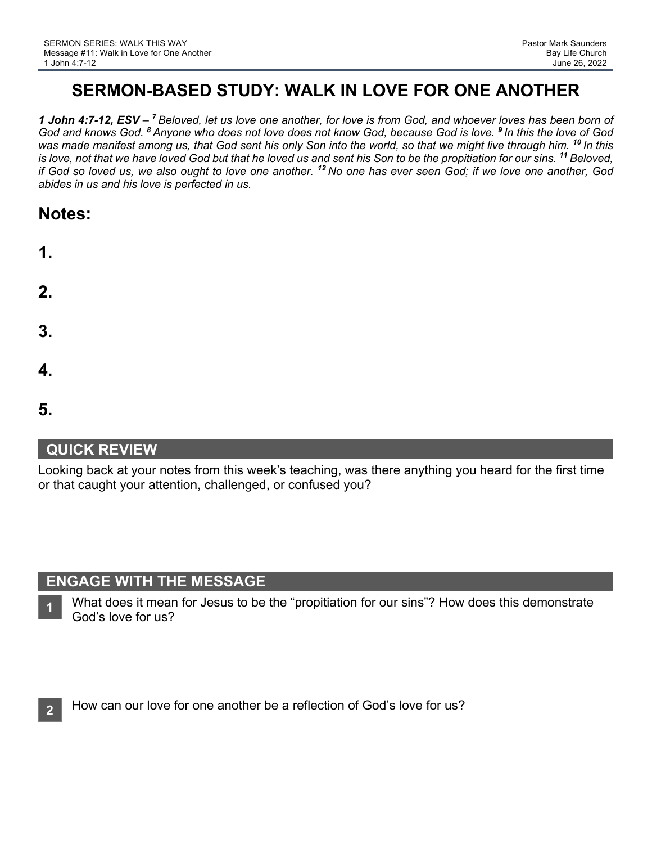# **SERMON-BASED STUDY: WALK IN LOVE FOR ONE ANOTHER**

*1 John 4:7-12, ESV – <sup>7</sup> Beloved, let us love one another, for love is from God, and whoever loves has been born of God and knows God. <sup>8</sup> Anyone who does not love does not know God, because God is love. <sup>9</sup> In this the love of God was made manifest among us, that God sent his only Son into the world, so that we might live through him. <sup>10</sup> In this is love, not that we have loved God but that he loved us and sent his Son to be the propitiation for our sins.* <sup>11</sup> Beloved, *if God so loved us, we also ought to love one another. <sup>12</sup> No one has ever seen God; if we love one another, God abides in us and his love is perfected in us.*

| <b>Notes:</b> |
|---------------|
|---------------|

| 1. |  |  |
|----|--|--|
| 2. |  |  |
| 3. |  |  |
| 4. |  |  |

```
5.
```
## **QUICK REVIEW**

Looking back at your notes from this week's teaching, was there anything you heard for the first time or that caught your attention, challenged, or confused you?

## **ENGAGE WITH THE MESSAGE**

What does it mean for Jesus to be the "propitiation for our sins"? How does this demonstrate God's love for us? **1**

How can our love for one another be a reflection of God's love for us?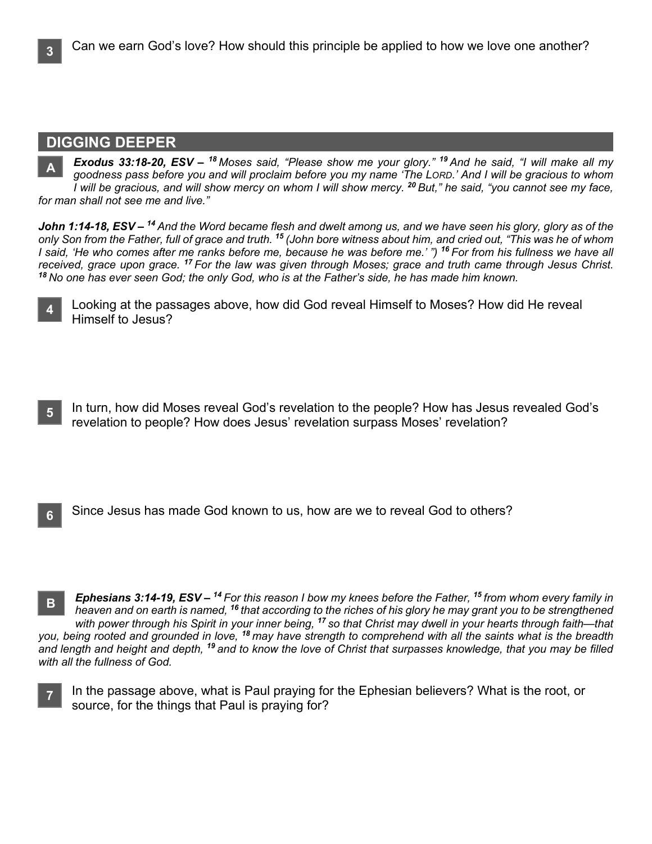#### **DIGGING DEEPER**

*Exodus 33:18-20, ESV – <sup>18</sup> Moses said, "Please show me your glory." <sup>19</sup> And he said, "I will make all my goodness pass before you and will proclaim before you my name 'The LORD.' And I will be gracious to whom I will be gracious, and will show mercy on whom I will show mercy. <sup>20</sup> But," he said, "you cannot see my face, for man shall not see me and live."* **A**

*John 1:14-18, ESV – <sup>14</sup> And the Word became flesh and dwelt among us, and we have seen his glory, glory as of the only Son from the Father, full of grace and truth. <sup>15</sup> (John bore witness about him, and cried out, "This was he of whom I said, 'He who comes after me ranks before me, because he was before me.' ") <sup>16</sup> For from his fullness we have all received, grace upon grace. <sup>17</sup> For the law was given through Moses; grace and truth came through Jesus Christ. <sup>18</sup> No one has ever seen God; the only God, who is at the Father's side, he has made him known.*

**4**

Looking at the passages above, how did God reveal Himself to Moses? How did He reveal Himself to Jesus?

In turn, how did Moses reveal God's revelation to the people? How has Jesus revealed God's revelation to people? How does Jesus' revelation surpass Moses' revelation? **5**

Since Jesus has made God known to us, how are we to reveal God to others? **6**

*Ephesians 3:14-19, ESV – <sup>14</sup> For this reason I bow my knees before the Father, <sup>15</sup> from whom every family in heaven and on earth is named, <sup>16</sup> that according to the riches of his glory he may grant you to be strengthened with power through his Spirit in your inner being, <sup>17</sup> so that Christ may dwell in your hearts through faith—that you, being rooted and grounded in love, <sup>18</sup> may have strength to comprehend with all the saints what is the breadth and length and height and depth, <sup>19</sup> and to know the love of Christ that surpasses knowledge, that you may be filled with all the fullness of God.* **B**

In the passage above, what is Paul praying for the Ephesian believers? What is the root, or source, for the things that Paul is praying for? **7**